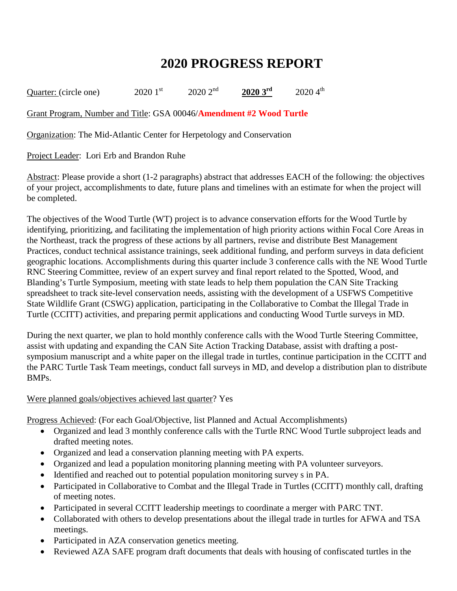## **2020 PROGRESS REPORT**

Quarter: (circle one) 2020 1<sup>st</sup> 2020 2<sup>nd</sup> 2020 3<sup>rd</sup> 2020 4<sup>th</sup>

Grant Program, Number and Title: GSA 00046/**Amendment #2 Wood Turtle**

Organization: The Mid-Atlantic Center for Herpetology and Conservation

Project Leader: Lori Erb and Brandon Ruhe

Abstract: Please provide a short (1-2 paragraphs) abstract that addresses EACH of the following: the objectives of your project, accomplishments to date, future plans and timelines with an estimate for when the project will be completed.

The objectives of the Wood Turtle (WT) project is to advance conservation efforts for the Wood Turtle by identifying, prioritizing, and facilitating the implementation of high priority actions within Focal Core Areas in the Northeast, track the progress of these actions by all partners, revise and distribute Best Management Practices, conduct technical assistance trainings, seek additional funding, and perform surveys in data deficient geographic locations. Accomplishments during this quarter include 3 conference calls with the NE Wood Turtle RNC Steering Committee, review of an expert survey and final report related to the Spotted, Wood, and Blanding's Turtle Symposium, meeting with state leads to help them population the CAN Site Tracking spreadsheet to track site-level conservation needs, assisting with the development of a USFWS Competitive State Wildlife Grant (CSWG) application, participating in the Collaborative to Combat the Illegal Trade in Turtle (CCITT) activities, and preparing permit applications and conducting Wood Turtle surveys in MD.

During the next quarter, we plan to hold monthly conference calls with the Wood Turtle Steering Committee, assist with updating and expanding the CAN Site Action Tracking Database, assist with drafting a postsymposium manuscript and a white paper on the illegal trade in turtles, continue participation in the CCITT and the PARC Turtle Task Team meetings, conduct fall surveys in MD, and develop a distribution plan to distribute BMPs.

## Were planned goals/objectives achieved last quarter? Yes

Progress Achieved: (For each Goal/Objective, list Planned and Actual Accomplishments)

- Organized and lead 3 monthly conference calls with the Turtle RNC Wood Turtle subproject leads and drafted meeting notes.
- Organized and lead a conservation planning meeting with PA experts.
- Organized and lead a population monitoring planning meeting with PA volunteer surveyors.
- Identified and reached out to potential population monitoring survey s in PA.
- Participated in Collaborative to Combat and the Illegal Trade in Turtles (CCITT) monthly call, drafting of meeting notes.
- Participated in several CCITT leadership meetings to coordinate a merger with PARC TNT.
- Collaborated with others to develop presentations about the illegal trade in turtles for AFWA and TSA meetings.
- Participated in AZA conservation genetics meeting.
- Reviewed AZA SAFE program draft documents that deals with housing of confiscated turtles in the